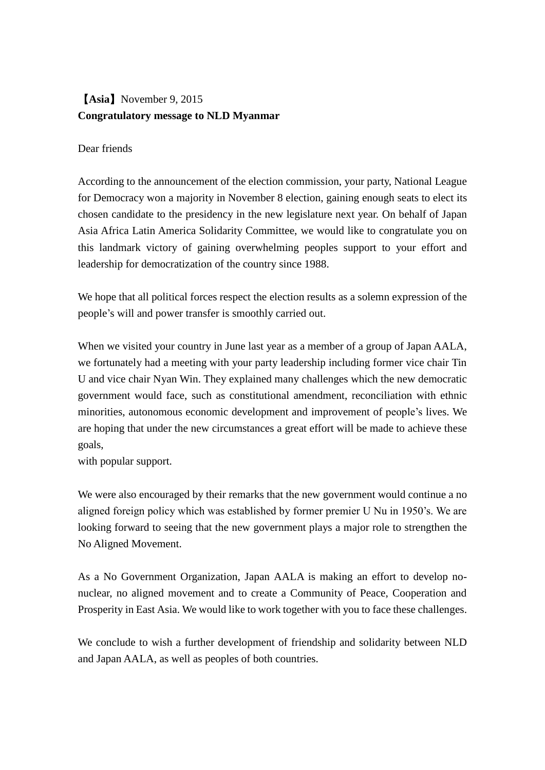## 【**Asia**】November 9, 2015 **Congratulatory message to NLD Myanmar**

## Dear friends

According to the announcement of the election commission, your party, National League for Democracy won a majority in November 8 election, gaining enough seats to elect its chosen candidate to the presidency in the new legislature next year. On behalf of Japan Asia Africa Latin America Solidarity Committee, we would like to congratulate you on this landmark victory of gaining overwhelming peoples support to your effort and leadership for democratization of the country since 1988.

We hope that all political forces respect the election results as a solemn expression of the people's will and power transfer is smoothly carried out.

When we visited your country in June last year as a member of a group of Japan AALA, we fortunately had a meeting with your party leadership including former vice chair Tin U and vice chair Nyan Win. They explained many challenges which the new democratic government would face, such as constitutional amendment, reconciliation with ethnic minorities, autonomous economic development and improvement of people's lives. We are hoping that under the new circumstances a great effort will be made to achieve these goals,

with popular support.

We were also encouraged by their remarks that the new government would continue a no aligned foreign policy which was established by former premier U Nu in 1950's. We are looking forward to seeing that the new government plays a major role to strengthen the No Aligned Movement.

As a No Government Organization, Japan AALA is making an effort to develop nonuclear, no aligned movement and to create a Community of Peace, Cooperation and Prosperity in East Asia. We would like to work together with you to face these challenges.

We conclude to wish a further development of friendship and solidarity between NLD and Japan AALA, as well as peoples of both countries.